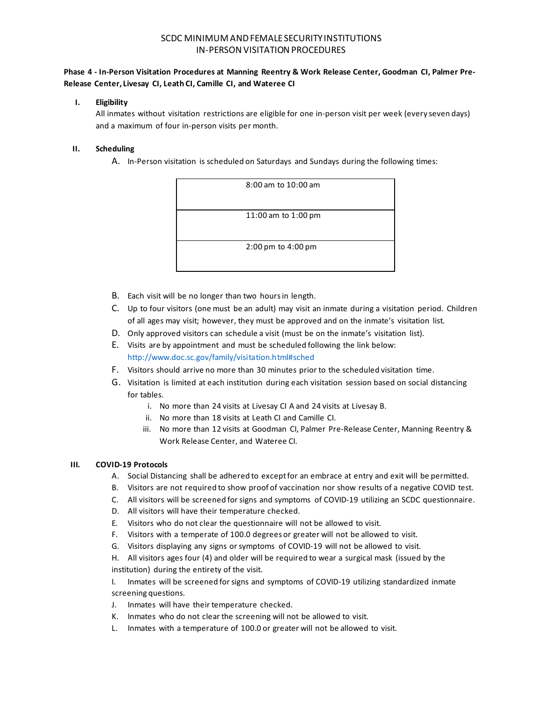# SCDC MINIMUM AND FEMALE SECURITY INSTITUTIONS IN-PERSON VISITATION PROCEDURES

### **Phase 4 - In-Person Visitation Procedures at Manning Reentry & Work Release Center, Goodman CI, Palmer Pre-Release Center, Livesay CI, Leath CI, Camille CI, and Wateree CI**

#### **I. Eligibility**

All inmates without visitation restrictions are eligible for one in-person visit per week (every seven days) and a maximum of four in-person visits per month.

### **II. Scheduling**

A. In-Person visitation is scheduled on Saturdays and Sundays during the following times:

| 8:00 am to 10:00 am                    |
|----------------------------------------|
|                                        |
| 11:00 am to 1:00 pm                    |
| $2:00 \text{ pm}$ to $4:00 \text{ pm}$ |
|                                        |

- B. Each visit will be no longer than two hours in length.
- C. Up to four visitors (one must be an adult) may visit an inmate during a visitation period. Children of all ages may visit; however, they must be approved and on the inmate's visitation list.
- D. Only approved visitors can schedule a visit (must be on the inmate's visitation list).
- E. Visits are by appointment and must be scheduled following the link below: <http://www.doc.sc.gov/family/visitation.html#sched>
- F. Visitors should arrive no more than 30 minutes prior to the scheduled visitation time.
- G. Visitation is limited at each institution during each visitation session based on social distancing for tables.
	- i. No more than 24 visits at Livesay CI A and 24 visits at Livesay B.
	- ii. No more than 18 visits at Leath CI and Camille CI.
	- iii. No more than 12 visits at Goodman CI, Palmer Pre-Release Center, Manning Reentry & Work Release Center, and Wateree CI.

#### **III. COVID-19 Protocols**

- A. Social Distancing shall be adhered to except for an embrace at entry and exit will be permitted.
- B. Visitors are not required to show proof of vaccination nor show results of a negative COVID test.
- C. All visitors will be screened for signs and symptoms of COVID-19 utilizing an SCDC questionnaire.
- D. All visitors will have their temperature checked.
- E. Visitors who do not clear the questionnaire will not be allowed to visit.
- F. Visitors with a temperate of 100.0 degrees or greater will not be allowed to visit.
- G. Visitors displaying any signs or symptoms of COVID-19 will not be allowed to visit.

H. All visitors ages four (4) and older will be required to wear a surgical mask (issued by the institution) during the entirety of the visit.

I. Inmates will be screened for signs and symptoms of COVID-19 utilizing standardized inmate screening questions.

- J. Inmates will have their temperature checked.
- K. Inmates who do not clear the screening will not be allowed to visit.
- L. Inmates with a temperature of 100.0 or greater will not be allowed to visit.